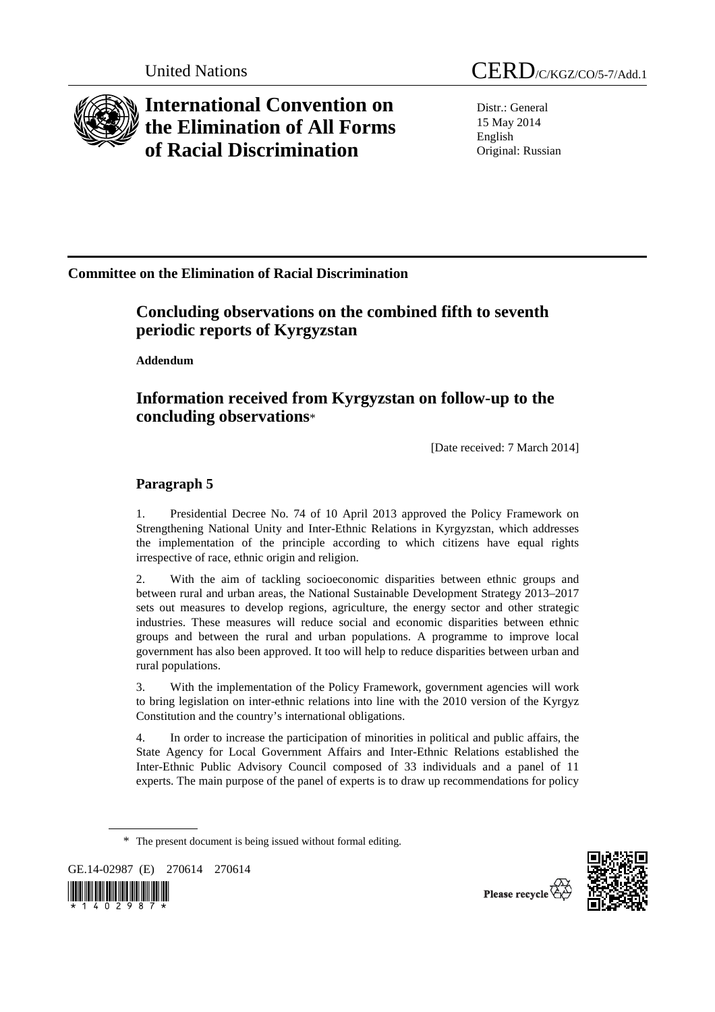

# **International Convention on the Elimination of All Forms of Racial Discrimination**

Distr.: General 15 May 2014 English Original: Russian

### **Committee on the Elimination of Racial Discrimination**

### **Concluding observations on the combined fifth to seventh periodic reports of Kyrgyzstan**

 **Addendum** 

## **Information received from Kyrgyzstan on follow-up to the concluding observations**\*

[Date received: 7 March 2014]

#### **Paragraph 5**

1. Presidential Decree No. 74 of 10 April 2013 approved the Policy Framework on Strengthening National Unity and Inter-Ethnic Relations in Kyrgyzstan, which addresses the implementation of the principle according to which citizens have equal rights irrespective of race, ethnic origin and religion.

2. With the aim of tackling socioeconomic disparities between ethnic groups and between rural and urban areas, the National Sustainable Development Strategy 2013–2017 sets out measures to develop regions, agriculture, the energy sector and other strategic industries. These measures will reduce social and economic disparities between ethnic groups and between the rural and urban populations. A programme to improve local government has also been approved. It too will help to reduce disparities between urban and rural populations.

3. With the implementation of the Policy Framework, government agencies will work to bring legislation on inter-ethnic relations into line with the 2010 version of the Kyrgyz Constitution and the country's international obligations.

4. In order to increase the participation of minorities in political and public affairs, the State Agency for Local Government Affairs and Inter-Ethnic Relations established the Inter-Ethnic Public Advisory Council composed of 33 individuals and a panel of 11 experts. The main purpose of the panel of experts is to draw up recommendations for policy

GE.14-02987 (E) 270614 270614





Please recycle

<sup>\*</sup> The present document is being issued without formal editing.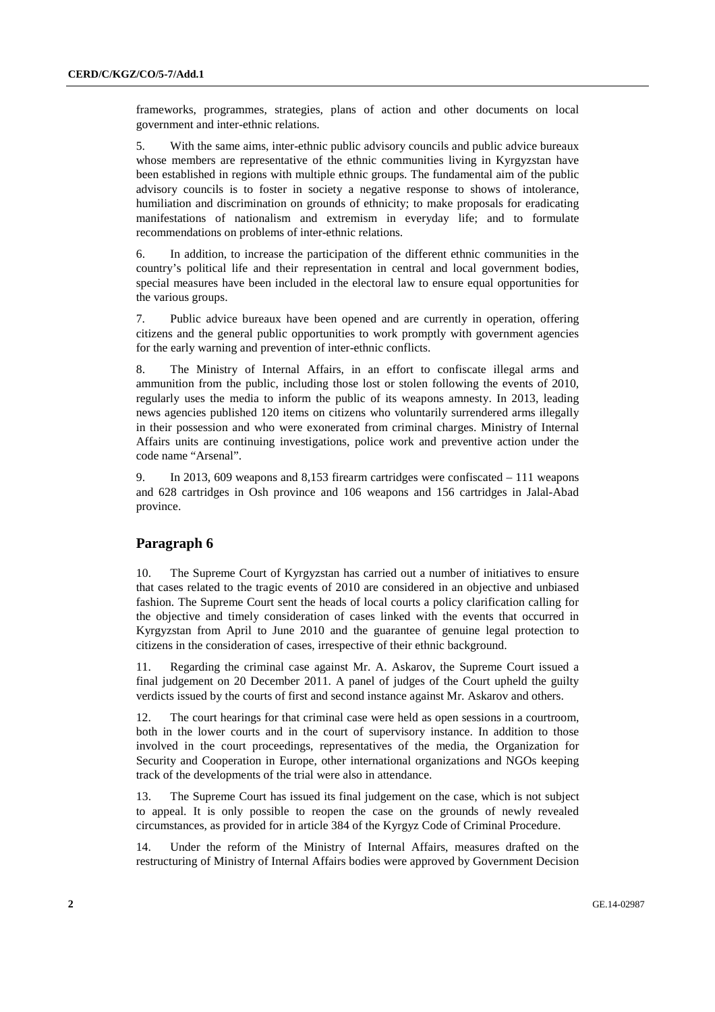frameworks, programmes, strategies, plans of action and other documents on local government and inter-ethnic relations.

5. With the same aims, inter-ethnic public advisory councils and public advice bureaux whose members are representative of the ethnic communities living in Kyrgyzstan have been established in regions with multiple ethnic groups. The fundamental aim of the public advisory councils is to foster in society a negative response to shows of intolerance, humiliation and discrimination on grounds of ethnicity; to make proposals for eradicating manifestations of nationalism and extremism in everyday life; and to formulate recommendations on problems of inter-ethnic relations.

6. In addition, to increase the participation of the different ethnic communities in the country's political life and their representation in central and local government bodies, special measures have been included in the electoral law to ensure equal opportunities for the various groups.

7. Public advice bureaux have been opened and are currently in operation, offering citizens and the general public opportunities to work promptly with government agencies for the early warning and prevention of inter-ethnic conflicts.

8. The Ministry of Internal Affairs, in an effort to confiscate illegal arms and ammunition from the public, including those lost or stolen following the events of 2010, regularly uses the media to inform the public of its weapons amnesty. In 2013, leading news agencies published 120 items on citizens who voluntarily surrendered arms illegally in their possession and who were exonerated from criminal charges. Ministry of Internal Affairs units are continuing investigations, police work and preventive action under the code name "Arsenal".

9. In 2013, 609 weapons and 8,153 firearm cartridges were confiscated – 111 weapons and 628 cartridges in Osh province and 106 weapons and 156 cartridges in Jalal-Abad province.

#### **Paragraph 6**

10. The Supreme Court of Kyrgyzstan has carried out a number of initiatives to ensure that cases related to the tragic events of 2010 are considered in an objective and unbiased fashion. The Supreme Court sent the heads of local courts a policy clarification calling for the objective and timely consideration of cases linked with the events that occurred in Kyrgyzstan from April to June 2010 and the guarantee of genuine legal protection to citizens in the consideration of cases, irrespective of their ethnic background.

11. Regarding the criminal case against Mr. A. Askarov, the Supreme Court issued a final judgement on 20 December 2011. A panel of judges of the Court upheld the guilty verdicts issued by the courts of first and second instance against Mr. Askarov and others.

12. The court hearings for that criminal case were held as open sessions in a courtroom, both in the lower courts and in the court of supervisory instance. In addition to those involved in the court proceedings, representatives of the media, the Organization for Security and Cooperation in Europe, other international organizations and NGOs keeping track of the developments of the trial were also in attendance.

13. The Supreme Court has issued its final judgement on the case, which is not subject to appeal. It is only possible to reopen the case on the grounds of newly revealed circumstances, as provided for in article 384 of the Kyrgyz Code of Criminal Procedure.

14. Under the reform of the Ministry of Internal Affairs, measures drafted on the restructuring of Ministry of Internal Affairs bodies were approved by Government Decision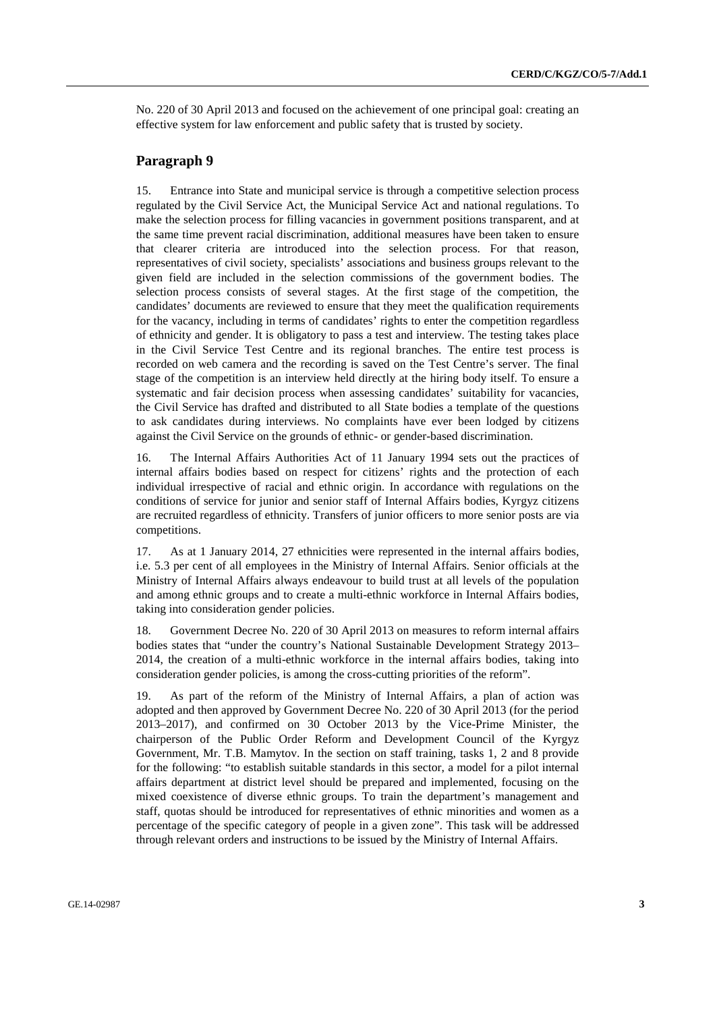No. 220 of 30 April 2013 and focused on the achievement of one principal goal: creating an effective system for law enforcement and public safety that is trusted by society.

#### **Paragraph 9**

15. Entrance into State and municipal service is through a competitive selection process regulated by the Civil Service Act, the Municipal Service Act and national regulations. To make the selection process for filling vacancies in government positions transparent, and at the same time prevent racial discrimination, additional measures have been taken to ensure that clearer criteria are introduced into the selection process. For that reason, representatives of civil society, specialists' associations and business groups relevant to the given field are included in the selection commissions of the government bodies. The selection process consists of several stages. At the first stage of the competition, the candidates' documents are reviewed to ensure that they meet the qualification requirements for the vacancy, including in terms of candidates' rights to enter the competition regardless of ethnicity and gender. It is obligatory to pass a test and interview. The testing takes place in the Civil Service Test Centre and its regional branches. The entire test process is recorded on web camera and the recording is saved on the Test Centre's server. The final stage of the competition is an interview held directly at the hiring body itself. To ensure a systematic and fair decision process when assessing candidates' suitability for vacancies, the Civil Service has drafted and distributed to all State bodies a template of the questions to ask candidates during interviews. No complaints have ever been lodged by citizens against the Civil Service on the grounds of ethnic- or gender-based discrimination.

16. The Internal Affairs Authorities Act of 11 January 1994 sets out the practices of internal affairs bodies based on respect for citizens' rights and the protection of each individual irrespective of racial and ethnic origin. In accordance with regulations on the conditions of service for junior and senior staff of Internal Affairs bodies, Kyrgyz citizens are recruited regardless of ethnicity. Transfers of junior officers to more senior posts are via competitions.

17. As at 1 January 2014, 27 ethnicities were represented in the internal affairs bodies, i.e. 5.3 per cent of all employees in the Ministry of Internal Affairs. Senior officials at the Ministry of Internal Affairs always endeavour to build trust at all levels of the population and among ethnic groups and to create a multi-ethnic workforce in Internal Affairs bodies, taking into consideration gender policies.

18. Government Decree No. 220 of 30 April 2013 on measures to reform internal affairs bodies states that "under the country's National Sustainable Development Strategy 2013– 2014, the creation of a multi-ethnic workforce in the internal affairs bodies, taking into consideration gender policies, is among the cross-cutting priorities of the reform".

19. As part of the reform of the Ministry of Internal Affairs, a plan of action was adopted and then approved by Government Decree No. 220 of 30 April 2013 (for the period 2013–2017), and confirmed on 30 October 2013 by the Vice-Prime Minister, the chairperson of the Public Order Reform and Development Council of the Kyrgyz Government, Mr. T.B. Mamytov. In the section on staff training, tasks 1, 2 and 8 provide for the following: "to establish suitable standards in this sector, a model for a pilot internal affairs department at district level should be prepared and implemented, focusing on the mixed coexistence of diverse ethnic groups. To train the department's management and staff, quotas should be introduced for representatives of ethnic minorities and women as a percentage of the specific category of people in a given zone". This task will be addressed through relevant orders and instructions to be issued by the Ministry of Internal Affairs.